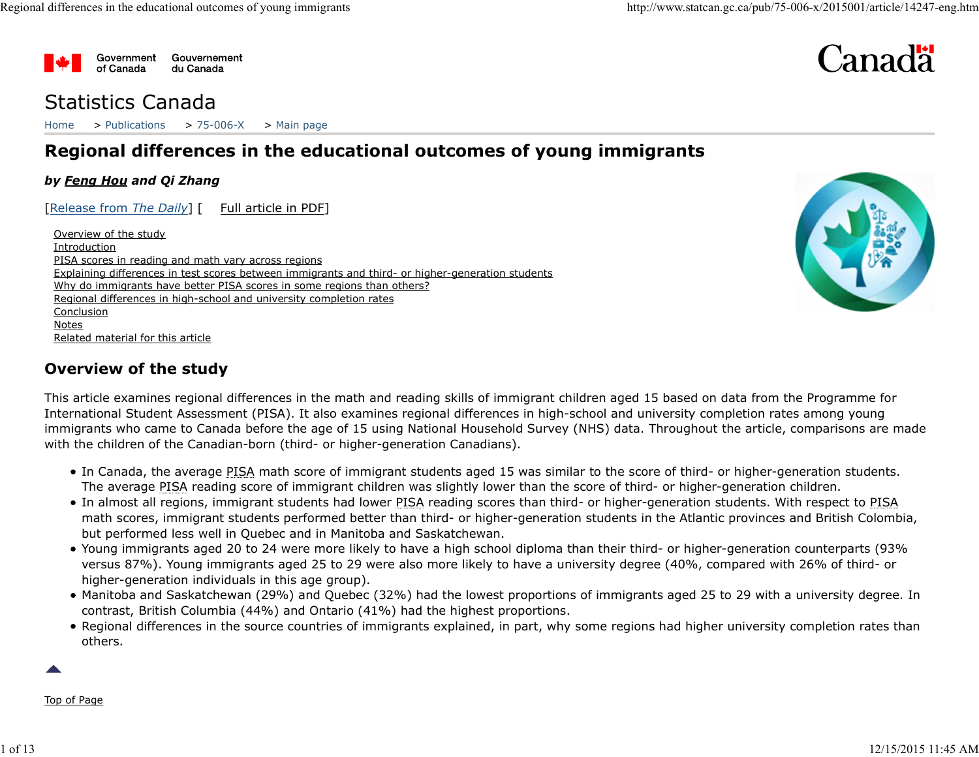



# Statistics Canada

Home > Publications > 75-006-X > Main page

# Regional differences in the educational outcomes of young immigrants

#### by Feng Hou and Qi Zhang

[Release from The Daily] [ Full article in PDF]

Overview of the study **Introduction** PISA scores in reading and math vary across regions Explaining differences in test scores between immigrants and third- or higher-generation students Why do immigrants have better PISA scores in some regions than others? Regional differences in high-school and university completion rates Conclusion Notes Related material for this article



# Overview of the study

This article examines regional differences in the math and reading skills of immigrant children aged 15 based on data from the Programme for International Student Assessment (PISA). It also examines regional differences in high-school and university completion rates among young immigrants who came to Canada before the age of 15 using National Household Survey (NHS) data. Throughout the article, comparisons are made with the children of the Canadian-born (third- or higher-generation Canadians).

- In Canada, the average PISA math score of immigrant students aged 15 was similar to the score of third- or higher-generation students. The average PISA reading score of immigrant children was slightly lower than the score of third- or higher-generation children.
- In almost all regions, immigrant students had lower PISA reading scores than third- or higher-generation students. With respect to PISA math scores, immigrant students performed better than third- or higher-generation students in the Atlantic provinces and British Colombia, but performed less well in Quebec and in Manitoba and Saskatchewan. Immigrants who came to canada denote the age of 15 using valuation rouselenoids burvey (wins) ords. Throughout the article, comparisons are made<br>
in Canada, the average PISA math score of immigrant students aged 15 was si
	- Young immigrants aged 20 to 24 were more likely to have a high school diploma than their third- or higher-generation counterparts (93% versus 87%). Young immigrants aged 25 to 29 were also more likely to have a university degree (40%, compared with 26% of third- or higher-generation individuals in this age group).
	- Manitoba and Saskatchewan (29%) and Quebec (32%) had the lowest proportions of immigrants aged 25 to 29 with a university degree. In contrast, British Columbia (44%) and Ontario (41%) had the highest proportions.
	- Regional differences in the source countries of immigrants explained, in part, why some regions had higher university completion rates than others.

Top of Page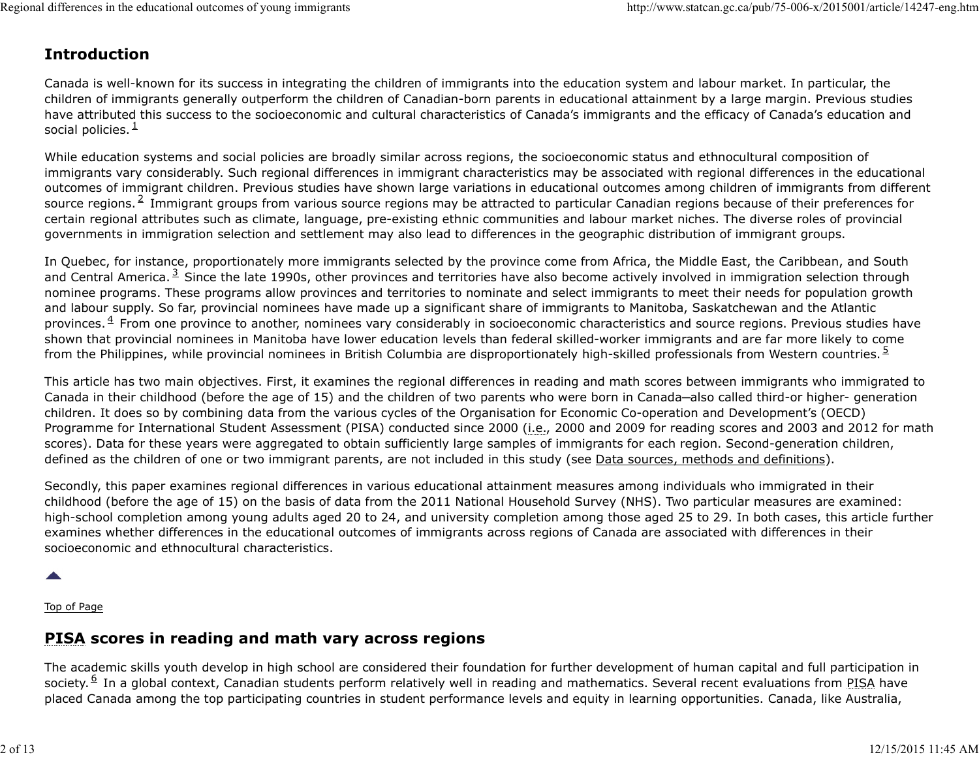# Introduction

Canada is well-known for its success in integrating the children of immigrants into the education system and labour market. In particular, the children of immigrants generally outperform the children of Canadian-born parents in educational attainment by a large margin. Previous studies have attributed this success to the socioeconomic and cultural characteristics of Canada's immigrants and the efficacy of Canada's education and social policies. $<sup>1</sup>$ </sup>  $\mathbf 1$ Regional differences in the educational outcomes of young immigrants<br> **Introduction**<br>
Canada is well-known for its success in integrating the children of immigrants into the education system and labour market. In particula

While education systems and social policies are broadly similar across regions, the socioeconomic status and ethnocultural composition of immigrants vary considerably. Such regional differences in immigrant characteristics may be associated with regional differences in the educational outcomes of immigrant children. Previous studies have shown large variations in educational outcomes among children of immigrants from different differences in the educational outcomes of young immigrants<br> **Introduction**<br> **Canada is well-known for its success in integrating the children of immigrants into the education system and labour market. In particular, the<br>** certain regional attributes such as climate, language, pre-existing ethnic communities and labour market niches. The diverse roles of provincial governments in immigration selection and settlement may also lead to differences in the geographic distribution of immigrant groups. source regions.<sup>2</sup> Immigrant groups from various source regions may be attracted to particular Canadian regions because of their preferences for

In Quebec, for instance, proportionately more immigrants selected by the province come from Africa, the Middle East, the Caribbean, and South differences in the educational outcomes of young immigrants<br> **Introduction**<br> **Canada is well-known for its success in integrating the children of immigrants into the education system and labour market. In particular, the<br>** nominee programs. These programs allow provinces and territories to nominate and select immigrants to meet their needs for population growth and labour supply. So far, provincial nominees have made up a significant share of immigrants to Manitoba, Saskatchewan and the Atlantic differences in the aluctional nuterines of young immigrants<br> **Introduction**<br> **Canada is well-known for its success in integrating the children of immigrants into the education system and labour market. In particular, the<br>** shown that provincial nominees in Manitoba have lower education levels than federal skilled-worker immigrants and are far more likely to come from the Philippines, while provincial nominees in British Columbia are disproportionately high-skilled professionals from Western countries.<sup>2</sup> and Central America.<sup>3</sup> Since the late 1990s, other provinces and territories have also become actively involved in immigration selection through provinces. $4$  From one province to another, nominees vary considerably in socioeconomic characteristics and source regions. Previous studies have <u>5</u> and the set of the set of the set of the set of the set of the set of the set of the set of the set of the set of the set of the set of the set of the set of the set of the set of the set of the set of the set of the s

This article has two main objectives. First, it examines the regional differences in reading and math scores between immigrants who immigrated to Canada in their childhood (before the age of 15) and the children of two parents who were born in Canada—also called third-or higher- generation children. It does so by combining data from the various cycles of the Organisation for Economic Co-operation and Development's (OECD) Programme for International Student Assessment (PISA) conducted since 2000 (i.e., 2000 and 2009 for reading scores and 2003 and 2012 for math scores). Data for these years were aggregated to obtain sufficiently large samples of immigrants for each region. Second-generation children, defined as the children of one or two immigrant parents, are not included in this study (see Data sources, methods and definitions). mom the Pillippines, while providing in metallic in a metallic content of two momes are also proportionately in relations are interesting contents in relations and in the children. It does so thy combining data from the va

Secondly, this paper examines regional differences in various educational attainment measures among individuals who immigrated in their childhood (before the age of 15) on the basis of data from the 2011 National Household Survey (NHS). Two particular measures are examined: high-school completion among young adults aged 20 to 24, and university completion among those aged 25 to 29. In both cases, this article further examines whether differences in the educational outcomes of immigrants across regions of Canada are associated with differences in their socioeconomic and ethnocultural characteristics. Frogramme to interactional southern Assessment (Frassy, contoucleus since 2000 and 2000 and 2000 and 2000 and 2000 and 2000 and 2000 and 2000 and 2000 and 2000 and 2000 and 2000 and 2000 and 2011 and 2011 and 2011 and 2011

Top of Page

# PISA scores in reading and math vary across regions

The academic skills youth develop in high school are considered their foundation for further development of human capital and full participation in placed Canada among the top participating countries in student performance levels and equity in learning opportunities. Canada, like Australia, society. <sup>6</sup> In a global context, Canadian students perform relatively well in reading and mathematics. Several recent evaluations from PISA have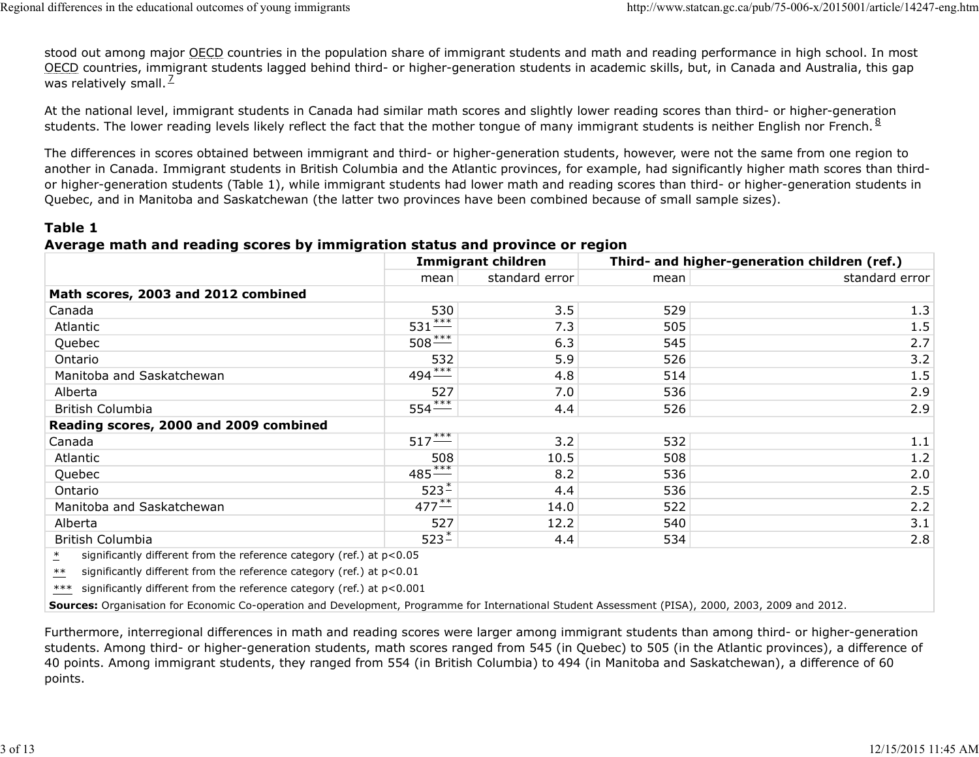stood out among major OECD countries in the population share of immigrant students and math and reading performance in high school. In most OECD countries, immigrant students lagged behind third- or higher-generation students in academic skills, but, in Canada and Australia, this gap was relatively small.  $\frac{1}{2}$ 7 Regional differences in the educational outcomes of young immigrants<br>stood out among major <u>OECD</u> countries in the population share of immigrant students and math and reading performance in high school. In most<br><u>OECD</u> coun

#### Table 1

#### Average math and reading scores by immigration status and province or region

| stood out among major OECD countries in the population share of immigrant students and math and reading performance in high school. In most                                                                                                                                                                                                                                                                                                                                                                                                                                                                                                                                 | Regional differences in the educational outcomes of young immigrants |                           |                                              | http://www.statcan.gc.ca/pub/75-006-x/2015001/article/14247-eng.htm |
|-----------------------------------------------------------------------------------------------------------------------------------------------------------------------------------------------------------------------------------------------------------------------------------------------------------------------------------------------------------------------------------------------------------------------------------------------------------------------------------------------------------------------------------------------------------------------------------------------------------------------------------------------------------------------------|----------------------------------------------------------------------|---------------------------|----------------------------------------------|---------------------------------------------------------------------|
| OECD countries, immigrant students lagged behind third- or higher-generation students in academic skills, but, in Canada and Australia, this gap<br>was relatively small. $^2$                                                                                                                                                                                                                                                                                                                                                                                                                                                                                              |                                                                      |                           |                                              |                                                                     |
| At the national level, immigrant students in Canada had similar math scores and slightly lower reading scores than third- or higher-generation<br>students. The lower reading levels likely reflect the fact that the mother tongue of many immigrant students is neither English nor French. 8                                                                                                                                                                                                                                                                                                                                                                             |                                                                      |                           |                                              |                                                                     |
| The differences in scores obtained between immigrant and third- or higher-generation students, however, were not the same from one region to<br>another in Canada. Immigrant students in British Columbia and the Atlantic provinces, for example, had significantly higher math scores than third-<br>or higher-generation students (Table 1), while immigrant students had lower math and reading scores than third- or higher-generation students in<br>Quebec, and in Manitoba and Saskatchewan (the latter two provinces have been combined because of small sample sizes).<br>Table 1<br>Average math and reading scores by immigration status and province or region |                                                                      |                           |                                              |                                                                     |
|                                                                                                                                                                                                                                                                                                                                                                                                                                                                                                                                                                                                                                                                             |                                                                      | <b>Immigrant children</b> | Third- and higher-generation children (ref.) |                                                                     |
|                                                                                                                                                                                                                                                                                                                                                                                                                                                                                                                                                                                                                                                                             | mean                                                                 | standard error            | mean                                         | standard error                                                      |
| Math scores, 2003 and 2012 combined                                                                                                                                                                                                                                                                                                                                                                                                                                                                                                                                                                                                                                         |                                                                      |                           |                                              |                                                                     |
| Canada                                                                                                                                                                                                                                                                                                                                                                                                                                                                                                                                                                                                                                                                      | 530                                                                  | 3.5                       | 529                                          | 1.3                                                                 |
| Atlantic                                                                                                                                                                                                                                                                                                                                                                                                                                                                                                                                                                                                                                                                    | $531***$                                                             | 7.3                       | 505                                          | 1.5                                                                 |
| Quebec                                                                                                                                                                                                                                                                                                                                                                                                                                                                                                                                                                                                                                                                      | $508***$                                                             | 6.3                       | 545                                          | 2.7                                                                 |
| Ontario                                                                                                                                                                                                                                                                                                                                                                                                                                                                                                                                                                                                                                                                     | 532                                                                  | 5.9                       | 526                                          | 3.2                                                                 |
| Manitoba and Saskatchewan                                                                                                                                                                                                                                                                                                                                                                                                                                                                                                                                                                                                                                                   | $494***$                                                             | 4.8                       | 514                                          | 1.5                                                                 |
| Alberta                                                                                                                                                                                                                                                                                                                                                                                                                                                                                                                                                                                                                                                                     | 527                                                                  | 7.0                       | 536                                          | 2.9                                                                 |
| <b>British Columbia</b>                                                                                                                                                                                                                                                                                                                                                                                                                                                                                                                                                                                                                                                     | $554***$                                                             | 4.4                       | 526                                          | 2.9                                                                 |
| Reading scores, 2000 and 2009 combined                                                                                                                                                                                                                                                                                                                                                                                                                                                                                                                                                                                                                                      |                                                                      |                           |                                              |                                                                     |
| Canada                                                                                                                                                                                                                                                                                                                                                                                                                                                                                                                                                                                                                                                                      | $517***$                                                             | 3.2                       | 532                                          | 1.1                                                                 |
| Atlantic                                                                                                                                                                                                                                                                                                                                                                                                                                                                                                                                                                                                                                                                    | 508                                                                  | 10.5                      | 508                                          | 1.2                                                                 |
| Quebec                                                                                                                                                                                                                                                                                                                                                                                                                                                                                                                                                                                                                                                                      | $485***$                                                             | 8.2                       | 536                                          | 2.0                                                                 |
| Ontario                                                                                                                                                                                                                                                                                                                                                                                                                                                                                                                                                                                                                                                                     | $523 -$                                                              | 4.4                       | 536                                          | 2.5                                                                 |
| Manitoba and Saskatchewan                                                                                                                                                                                                                                                                                                                                                                                                                                                                                                                                                                                                                                                   | $477^{**}$                                                           | 14.0                      | 522                                          | 2.2                                                                 |
| Alberta                                                                                                                                                                                                                                                                                                                                                                                                                                                                                                                                                                                                                                                                     | 527                                                                  | 12.2                      | 540                                          | 3.1                                                                 |
| <b>British Columbia</b>                                                                                                                                                                                                                                                                                                                                                                                                                                                                                                                                                                                                                                                     | $523 -$                                                              | 4.4                       | 534                                          | 2.8                                                                 |
| significantly different from the reference category (ref.) at p<0.05                                                                                                                                                                                                                                                                                                                                                                                                                                                                                                                                                                                                        |                                                                      |                           |                                              |                                                                     |
|                                                                                                                                                                                                                                                                                                                                                                                                                                                                                                                                                                                                                                                                             |                                                                      |                           |                                              |                                                                     |
| significantly different from the reference category (ref.) at p<0.01<br>$***$                                                                                                                                                                                                                                                                                                                                                                                                                                                                                                                                                                                               |                                                                      |                           |                                              |                                                                     |
| significantly different from the reference category (ref.) at p<0.001<br>***                                                                                                                                                                                                                                                                                                                                                                                                                                                                                                                                                                                                |                                                                      |                           |                                              |                                                                     |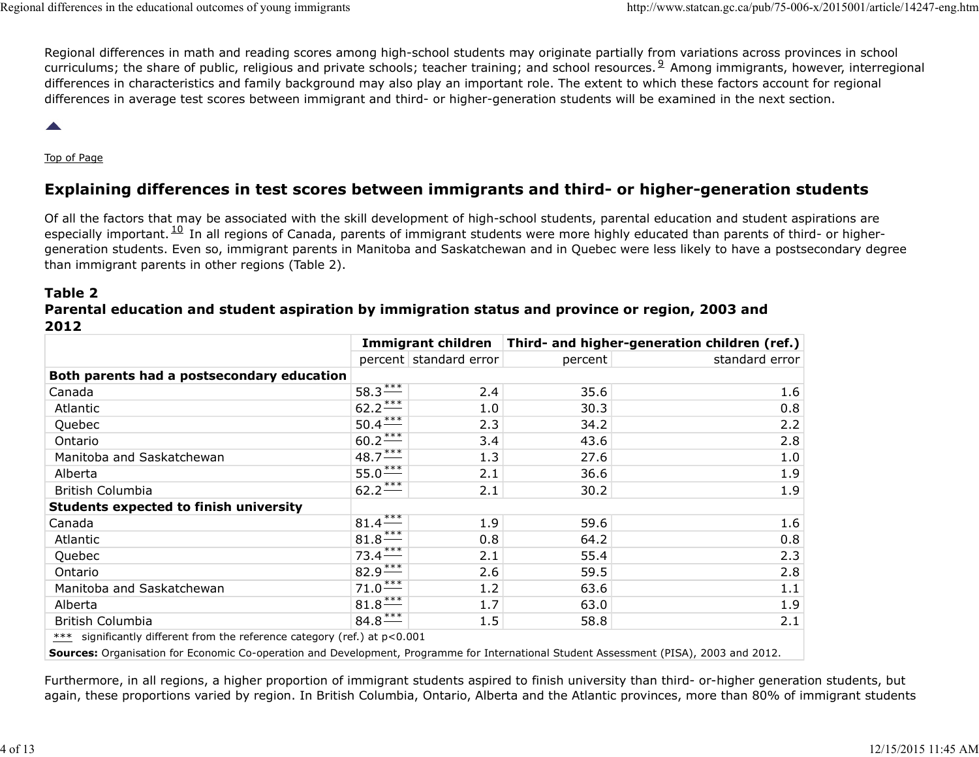Regional differences in math and reading scores among high-school students may originate partially from variations across provinces in school differences in the educational outcomes of young immigrants<br>
Regional differences in math and reading scores among high-school students may originate partially from variations across provinces in school<br>
curriculums; the s differences in characteristics and family background may also play an important role. The extent to which these factors account for regional differences in average test scores between immigrant and third- or higher-generation students will be examined in the next section. curriculums; the share of public, religious and private schools; teacher training; and school resources. <sup>9</sup> Among immigrants, however, interregional Regional differences in the educational outcomes of young immigrants<br>Regional differences in math and reading scores among high-school students may originate partially from variations across provinces in school<br>Curriculums

# Explaining differences in test scores between immigrants and third- or higher-generation students

Of all the factors that may be associated with the skill development of high-school students, parental education and student aspirations are differences in the educational outcomes of young immigrants<br>
Regional differences in math and reading scores among high-school students may originate partially from variations across provinces in schere<br>
curriculums; the s generation students. Even so, immigrant parents in Manitoba and Saskatchewan and in Quebec were less likely to have a postsecondary degree than immigrant parents in other regions (Table 2). especially important.  $^{10}$  In all regions of Canada, parents of immigrant students were more highly educated than parents of third- or higher-

#### Table 2 Parental education and student aspiration by immigration status and province or region, 2003 and 2012

| differences in average test scores between immigrant and third- or higher-generation students will be examined in the next section.                                                                                                                                                                                                                                                                                                                                                                                                                                                                                        |                       |                        |                                                                   |                |
|----------------------------------------------------------------------------------------------------------------------------------------------------------------------------------------------------------------------------------------------------------------------------------------------------------------------------------------------------------------------------------------------------------------------------------------------------------------------------------------------------------------------------------------------------------------------------------------------------------------------------|-----------------------|------------------------|-------------------------------------------------------------------|----------------|
| $\blacktriangle$                                                                                                                                                                                                                                                                                                                                                                                                                                                                                                                                                                                                           |                       |                        |                                                                   |                |
| Top of Page                                                                                                                                                                                                                                                                                                                                                                                                                                                                                                                                                                                                                |                       |                        |                                                                   |                |
| Explaining differences in test scores between immigrants and third- or higher-generation students                                                                                                                                                                                                                                                                                                                                                                                                                                                                                                                          |                       |                        |                                                                   |                |
| Of all the factors that may be associated with the skill development of high-school students, parental education and student aspirations are<br>especially important. <sup>10</sup> In all regions of Canada, parents of immigrant students were more highly educated than parents of third- or higher-<br>generation students. Even so, immigrant parents in Manitoba and Saskatchewan and in Quebec were less likely to have a postsecondary degree<br>than immigrant parents in other regions (Table 2).<br>Table 2<br>Parental education and student aspiration by immigration status and province or region, 2003 and |                       |                        |                                                                   |                |
| 2012                                                                                                                                                                                                                                                                                                                                                                                                                                                                                                                                                                                                                       |                       |                        | Immigrant children   Third- and higher-generation children (ref.) |                |
|                                                                                                                                                                                                                                                                                                                                                                                                                                                                                                                                                                                                                            |                       | percent standard error | percent                                                           | standard error |
| Both parents had a postsecondary education                                                                                                                                                                                                                                                                                                                                                                                                                                                                                                                                                                                 |                       |                        |                                                                   |                |
| Canada                                                                                                                                                                                                                                                                                                                                                                                                                                                                                                                                                                                                                     | $58.3***$             | 2.4                    | 35.6                                                              | 1.6            |
| Atlantic                                                                                                                                                                                                                                                                                                                                                                                                                                                                                                                                                                                                                   | $62.2***$             | 1.0                    | 30.3                                                              | 0.8            |
| Quebec                                                                                                                                                                                                                                                                                                                                                                                                                                                                                                                                                                                                                     | $50.4***$             | 2.3                    | 34.2                                                              | 2.2            |
| Ontario                                                                                                                                                                                                                                                                                                                                                                                                                                                                                                                                                                                                                    | $60.2***$             | 3.4                    | 43.6                                                              | 2.8            |
| Manitoba and Saskatchewan                                                                                                                                                                                                                                                                                                                                                                                                                                                                                                                                                                                                  | $48.7 \frac{***}{}$   | 1.3                    | 27.6                                                              | 1.0            |
| Alberta                                                                                                                                                                                                                                                                                                                                                                                                                                                                                                                                                                                                                    | $55.0***$             | 2.1                    | 36.6                                                              | 1.9            |
| <b>British Columbia</b>                                                                                                                                                                                                                                                                                                                                                                                                                                                                                                                                                                                                    | $62.2***$             | 2.1                    | 30.2                                                              | 1.9            |
| <b>Students expected to finish university</b>                                                                                                                                                                                                                                                                                                                                                                                                                                                                                                                                                                              |                       |                        |                                                                   |                |
| Canada                                                                                                                                                                                                                                                                                                                                                                                                                                                                                                                                                                                                                     | $81.4***$             | 1.9                    | 59.6                                                              | 1.6            |
| Atlantic                                                                                                                                                                                                                                                                                                                                                                                                                                                                                                                                                                                                                   | $81.8***$             | 0.8                    | 64.2                                                              | 0.8            |
| Quebec                                                                                                                                                                                                                                                                                                                                                                                                                                                                                                                                                                                                                     | $73.4***$             | 2.1                    | 55.4                                                              | 2.3            |
| Ontario                                                                                                                                                                                                                                                                                                                                                                                                                                                                                                                                                                                                                    | $82.9***$             | 2.6                    | 59.5                                                              | 2.8            |
| Manitoba and Saskatchewan                                                                                                                                                                                                                                                                                                                                                                                                                                                                                                                                                                                                  | $71.0***$             | 1.2                    | 63.6                                                              | 1.1            |
|                                                                                                                                                                                                                                                                                                                                                                                                                                                                                                                                                                                                                            | $81.8***$             | 1.7                    | 63.0                                                              | 1.9            |
|                                                                                                                                                                                                                                                                                                                                                                                                                                                                                                                                                                                                                            |                       | 1.5                    | 58.8                                                              | 2.1            |
| Alberta                                                                                                                                                                                                                                                                                                                                                                                                                                                                                                                                                                                                                    |                       |                        |                                                                   |                |
| <b>British Columbia</b><br>*** significantly different from the reference category (ref.) at p<0.001                                                                                                                                                                                                                                                                                                                                                                                                                                                                                                                       | $84.8$ <sup>***</sup> |                        |                                                                   |                |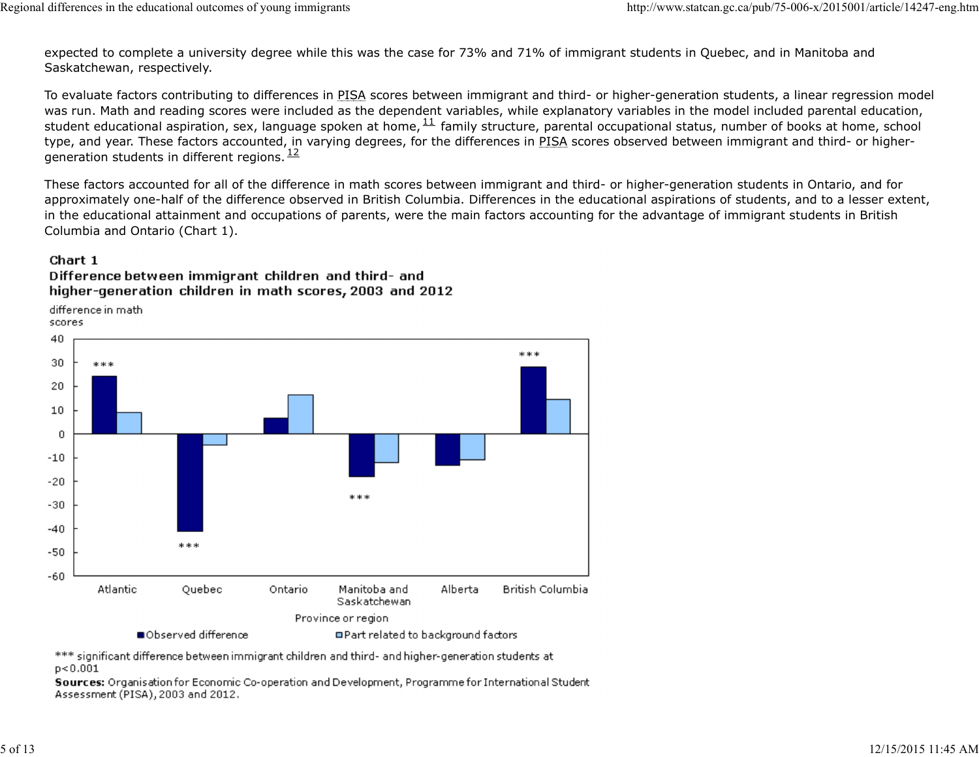expected to complete a university degree while this was the case for 73% and 71% of immigrant students in Quebec, and in Manitoba and Saskatchewan, respectively. Regional differences in the educational outcomes of young immigrants<br>expected to complete a university degree while this was the case for 73% and 71% of immigrant students in Quebec, and in Manitoba and<br>Saskatchewan, respe

To evaluate factors contributing to differences in PISA scores between immigrant and third- or higher-generation students, a linear regression model was run. Math and reading scores were included as the dependent variables, while explanatory variables in the model included parental education, differences in the educational outcomes of young immigrants<br>expected to complete a university degree while this was the case for 73% and 71% of immigrant students in Quebec, and in Manitoba and<br>Saskatchewan, respectively.<br> type, and year. These factors accounted, in varying degrees, for the differences in PISA scores observed between immigrant and third- or highergeneration students in different regions.  $12$ student educational aspiration, sex, language spoken at home,  $^{11}$  family structure, parental occupational status, number of books at home, school  $\frac{12}{1}$ 

These factors accounted for all of the difference in math scores between immigrant and third- or higher-generation students in Ontario, and for approximately one-half of the difference observed in British Columbia. Differences in the educational aspirations of students, and to a lesser extent, in the educational attainment and occupations of parents, were the main factors accounting for the advantage of immigrant students in British Columbia and Ontario (Chart 1).

#### Chart 1

Difference between immigrant children and third- and higher-generation children in math scores, 2003 and 2012

difference in math

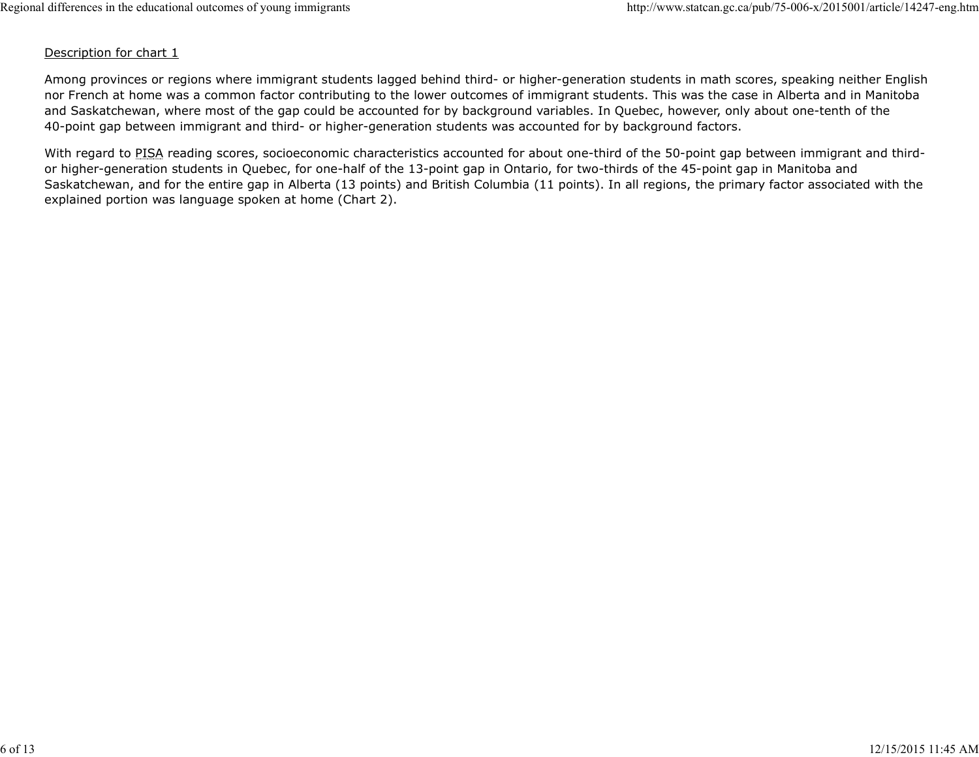#### Description for chart 1

Among provinces or regions where immigrant students lagged behind third- or higher-generation students in math scores, speaking neither English nor French at home was a common factor contributing to the lower outcomes of immigrant students. This was the case in Alberta and in Manitoba and Saskatchewan, where most of the gap could be accounted for by background variables. In Quebec, however, only about one-tenth of the 40-point gap between immigrant and third- or higher-generation students was accounted for by background factors. Regional differences in the educational outcomes of young immigrants<br>Description for chart 1<br>Among provinces or regions where immigrant students lagged behind third- or higher-generation students in math scores, speaking n

With regard to PISA reading scores, socioeconomic characteristics accounted for about one-third of the 50-point gap between immigrant and thirdor higher-generation students in Quebec, for one-half of the 13-point gap in Ontario, for two-thirds of the 45-point gap in Manitoba and Saskatchewan, and for the entire gap in Alberta (13 points) and British Columbia (11 points). In all regions, the primary factor associated with the explained portion was language spoken at home (Chart 2).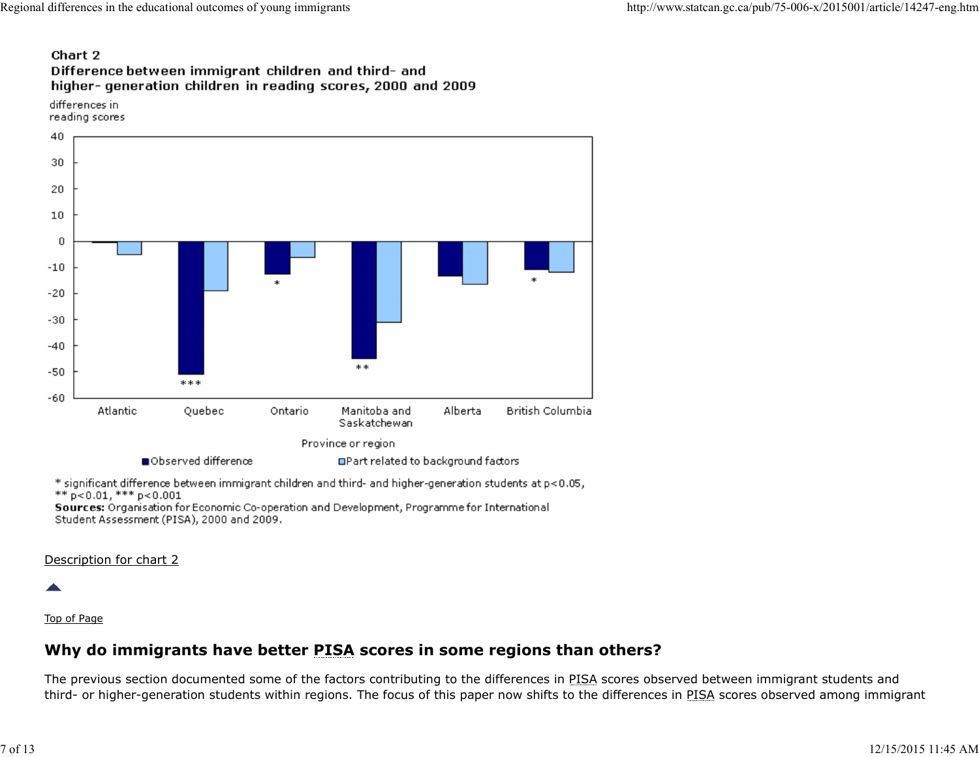# Regional differences in the educational outcomes of young immigrants<br> **Chart 2**<br> **Chart 2**<br>
Difference between immigrant children and third- and<br>
higher- generation children in reading scores, 2000 and 2009

differences in reading scores



#### Description for chart 2

#### Top of Page

# Why do immigrants have better PISA scores in some regions than others?

The previous section documented some of the factors contributing to the differences in PISA scores observed between immigrant students and third- or higher-generation students within regions. The focus of this paper now shifts to the differences in PISA scores observed among immigrant **Examples and the model of the model of the model of the province or region<br>
\* popularity of the product difference between immigrant children and third- and higher-generation students at p<0.05,<br>
\* popularity and the con**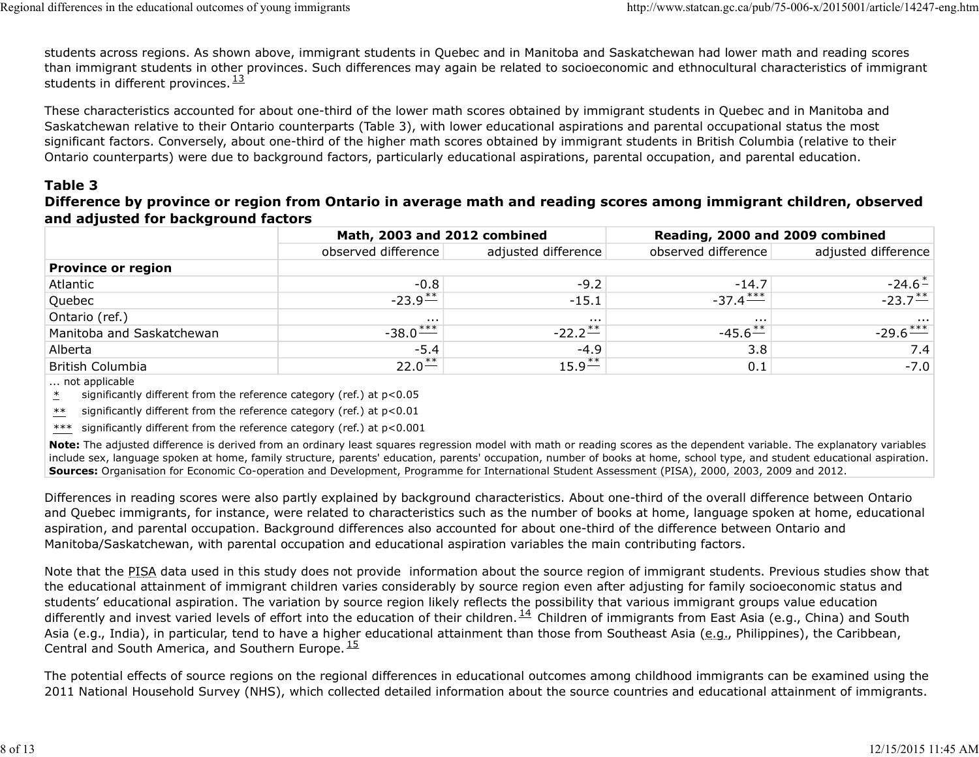students across regions. As shown above, immigrant students in Quebec and in Manitoba and Saskatchewan had lower math and reading scores than immigrant students in other provinces. Such differences may again be related to socioeconomic and ethnocultural characteristics of immigrant students in different provinces.  $\frac{13}{12}$  $\frac{13}{2}$ Regional differences in the educational outcomes of young immigrants<br>students across regions. As shown above, immigrant students in Quebec and in Manitoba and Saskatchewan had lower math and reading scores<br>than immigrant s

# Table 3

### Difference by province or region from Ontario in average math and reading scores among immigrant children, observed and adjusted for background factors

| differences in the educational outcomes of young immigrants                                                                                                                                                                                                                                                                                                                                                                                                           |                                                     |                                 | http://www.statcan.gc.ca/pub/75-006-x/2015001/article/14247-eng.htm |                             |
|-----------------------------------------------------------------------------------------------------------------------------------------------------------------------------------------------------------------------------------------------------------------------------------------------------------------------------------------------------------------------------------------------------------------------------------------------------------------------|-----------------------------------------------------|---------------------------------|---------------------------------------------------------------------|-----------------------------|
| students across regions. As shown above, immigrant students in Quebec and in Manitoba and Saskatchewan had lower math and reading scores<br>than immigrant students in other provinces. Such differences may again be related to socioeconomic and ethnocultural characteristics of immigrant<br>students in different provinces. $\frac{13}{2}$                                                                                                                      |                                                     |                                 |                                                                     |                             |
| These characteristics accounted for about one-third of the lower math scores obtained by immigrant students in Quebec and in Manitoba and<br>Saskatchewan relative to their Ontario counterparts (Table 3), with lower educational aspirations and parental occupational status the most                                                                                                                                                                              |                                                     |                                 |                                                                     |                             |
|                                                                                                                                                                                                                                                                                                                                                                                                                                                                       |                                                     |                                 |                                                                     |                             |
|                                                                                                                                                                                                                                                                                                                                                                                                                                                                       |                                                     |                                 |                                                                     |                             |
| significant factors. Conversely, about one-third of the higher math scores obtained by immigrant students in British Columbia (relative to their<br>Ontario counterparts) were due to background factors, particularly educational aspirations, parental occupation, and parental education.<br>Table 3<br>Difference by province or region from Ontario in average math and reading scores among immigrant children, observed<br>and adjusted for background factors | Math, 2003 and 2012 combined<br>observed difference |                                 | Reading, 2000 and 2009 combined                                     |                             |
|                                                                                                                                                                                                                                                                                                                                                                                                                                                                       |                                                     | adjusted difference             | observed difference                                                 | adjusted difference         |
| <b>Province or region</b><br>Atlantic                                                                                                                                                                                                                                                                                                                                                                                                                                 | $-0.8$                                              | $-9.2$                          | $-14.7$                                                             | $-24.6^*$                   |
| Quebec                                                                                                                                                                                                                                                                                                                                                                                                                                                                | $-23.9$ **                                          | $-15.1$                         |                                                                     |                             |
|                                                                                                                                                                                                                                                                                                                                                                                                                                                                       |                                                     | $\sim$ $\sim$                   | $-37.4$ ***                                                         | $-23.7$                     |
| Ontario (ref.)                                                                                                                                                                                                                                                                                                                                                                                                                                                        |                                                     |                                 |                                                                     |                             |
| Manitoba and Saskatchewan<br>Alberta                                                                                                                                                                                                                                                                                                                                                                                                                                  | $-38.0$ ***<br>$-5.4$                               | $-22.2$ <sup>**</sup><br>$-4.9$ | $-45.6^{**}$<br>3.8                                                 | $-29.6 \frac{***}{}$<br>7.4 |

Note: The adjusted difference is derived from an ordinary least squares regression model with math or reading scores as the dependent variable. The explanatory variables include sex, language spoken at home, family structure, parents' education, parents' occupation, number of books at home, school type, and student educational aspiration. Sources: Organisation for Economic Co-operation and Development, Programme for International Student Assessment (PISA), 2000, 2003, 2009 and 2012.

Differences in reading scores were also partly explained by background characteristics. About one-third of the overall difference between Ontario and Quebec immigrants, for instance, were related to characteristics such as the number of books at home, language spoken at home, educational aspiration, and parental occupation. Background differences also accounted for about one-third of the difference between Ontario and Manitoba/Saskatchewan, with parental occupation and educational aspiration variables the main contributing factors.

Note that the PISA data used in this study does not provide information about the source region of immigrant students. Previous studies show that the educational attainment of immigrant children varies considerably by source region even after adjusting for family socioeconomic status and students' educational aspiration. The variation by source region likely reflects the possibility that various immigrant groups value education Concidence<br>
Once the PSE different and Saskatchewan and Saskatchewan and Saskatchewan and Saskatchewan and Saskatchewan and Saskatchewan and Saskatchewan and Saskatchewan and Saskatchewan and Saskatchewan and Saskatchewan Asia (e.g., India), in particular, tend to have a higher educational attainment than those from Southeast Asia (e.g., Philippines), the Caribbean, Central and South America, and Southern Europe.<sup>15</sup> differently and invest varied levels of effort into the education of their children.  $^{14}$  Children of immigrants from East Asia (e.g., China) and South  $15$ Example the main of the relation of the relation by the relation of their children. He has a state dependent variable. The explanatory variables<br>
Nodes The adjusted difference is denoted from an ordinary least squares regr

The potential effects of source regions on the regional differences in educational outcomes among childhood immigrants can be examined using the 2011 National Household Survey (NHS), which collected detailed information about the source countries and educational attainment of immigrants.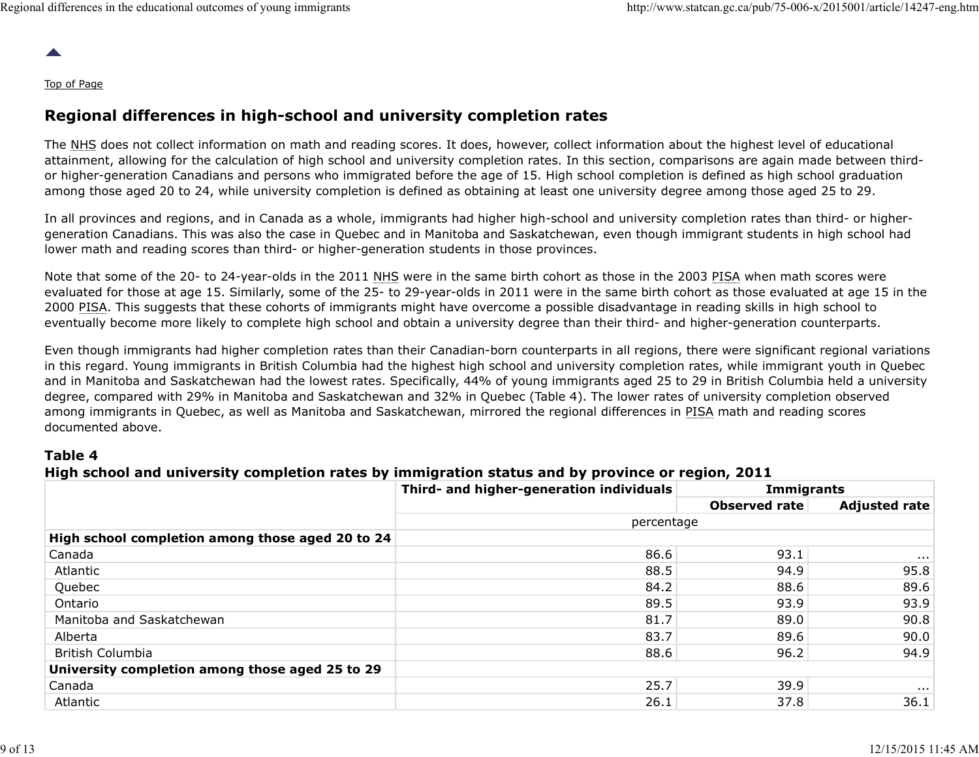#### Top of Page

# Regional differences in high-school and university completion rates

The NHS does not collect information on math and reading scores. It does, however, collect information about the highest level of educational attainment, allowing for the calculation of high school and university completion rates. In this section, comparisons are again made between thirdor higher-generation Canadians and persons who immigrated before the age of 15. High school completion is defined as high school graduation among those aged 20 to 24, while university completion is defined as obtaining at least one university degree among those aged 25 to 29.

#### Table 4

## High school and university completion rates by immigration status and by province or region, 2011

|                                                                      | among those aged 20 to 24, while university completion is defined as obtaining at least one university degree among those aged 25 to 29.                                                                                                                                                                                                                                                                                                                                                                                                                                                  |                      | or nigher-generation Canadians and persons who immigrated before the age or 15. High school completion is denned as high school graduation |
|----------------------------------------------------------------------|-------------------------------------------------------------------------------------------------------------------------------------------------------------------------------------------------------------------------------------------------------------------------------------------------------------------------------------------------------------------------------------------------------------------------------------------------------------------------------------------------------------------------------------------------------------------------------------------|----------------------|--------------------------------------------------------------------------------------------------------------------------------------------|
|                                                                      | In all provinces and regions, and in Canada as a whole, immigrants had higher high-school and university completion rates than third- or higher-<br>generation Canadians. This was also the case in Quebec and in Manitoba and Saskatchewan, even though immigrant students in high school had<br>lower math and reading scores than third- or higher-generation students in those provinces.                                                                                                                                                                                             |                      |                                                                                                                                            |
|                                                                      | Note that some of the 20- to 24-year-olds in the 2011 NHS were in the same birth cohort as those in the 2003 PISA when math scores were<br>evaluated for those at age 15. Similarly, some of the 25- to 29-year-olds in 2011 were in the same birth cohort as those evaluated at age 15 in the<br>2000 PISA. This suggests that these cohorts of immigrants might have overcome a possible disadvantage in reading skills in high school to<br>eventually become more likely to complete high school and obtain a university degree than their third- and higher-generation counterparts. |                      |                                                                                                                                            |
|                                                                      | in this regard. Young immigrants in British Columbia had the highest high school and university completion rates, while immigrant youth in Quebec<br>and in Manitoba and Saskatchewan had the lowest rates. Specifically, 44% of young immigrants aged 25 to 29 in British Columbia held a university<br>degree, compared with 29% in Manitoba and Saskatchewan and 32% in Quebec (Table 4). The lower rates of university completion observed<br>among immigrants in Quebec, as well as Manitoba and Saskatchewan, mirrored the regional differences in PISA math and reading scores     |                      |                                                                                                                                            |
| documented above.                                                    |                                                                                                                                                                                                                                                                                                                                                                                                                                                                                                                                                                                           |                      |                                                                                                                                            |
| Table 4                                                              | High school and university completion rates by immigration status and by province or region, 2011                                                                                                                                                                                                                                                                                                                                                                                                                                                                                         |                      |                                                                                                                                            |
|                                                                      | Third- and higher-generation individuals                                                                                                                                                                                                                                                                                                                                                                                                                                                                                                                                                  | Immigrants           |                                                                                                                                            |
|                                                                      |                                                                                                                                                                                                                                                                                                                                                                                                                                                                                                                                                                                           | <b>Observed rate</b> | <b>Adjusted rate</b>                                                                                                                       |
|                                                                      | percentage                                                                                                                                                                                                                                                                                                                                                                                                                                                                                                                                                                                |                      |                                                                                                                                            |
|                                                                      | 86.6                                                                                                                                                                                                                                                                                                                                                                                                                                                                                                                                                                                      | 93.1                 | $\sim 0.001$                                                                                                                               |
| Atlantic                                                             | 88.5                                                                                                                                                                                                                                                                                                                                                                                                                                                                                                                                                                                      | 94.9                 | 95.8                                                                                                                                       |
| High school completion among those aged 20 to 24<br>Canada<br>Quebec | 84.2                                                                                                                                                                                                                                                                                                                                                                                                                                                                                                                                                                                      | 88.6                 | 89.6                                                                                                                                       |
| Ontario                                                              | 89.5                                                                                                                                                                                                                                                                                                                                                                                                                                                                                                                                                                                      | 93.9                 | 93.9                                                                                                                                       |
| Manitoba and Saskatchewan                                            | 81.7                                                                                                                                                                                                                                                                                                                                                                                                                                                                                                                                                                                      | 89.0                 | 90.8                                                                                                                                       |
| Alberta                                                              | 83.7                                                                                                                                                                                                                                                                                                                                                                                                                                                                                                                                                                                      | 89.6                 | 90.0                                                                                                                                       |
| <b>British Columbia</b>                                              | 88.6                                                                                                                                                                                                                                                                                                                                                                                                                                                                                                                                                                                      | 96.2                 | 94.9                                                                                                                                       |
|                                                                      |                                                                                                                                                                                                                                                                                                                                                                                                                                                                                                                                                                                           |                      |                                                                                                                                            |
| University completion among those aged 25 to 29<br>Canada            | 25.7                                                                                                                                                                                                                                                                                                                                                                                                                                                                                                                                                                                      | 39.9                 | $\sim$ 10 $\pm$                                                                                                                            |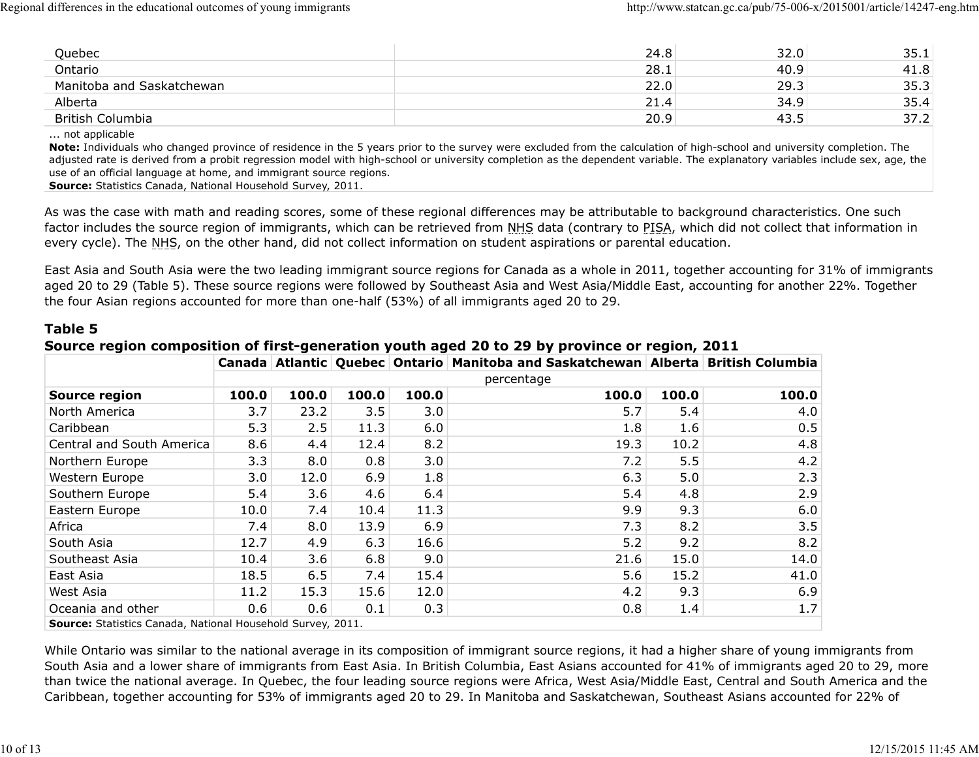| 21.4<br>34.9<br>Alberta<br>20.9<br>43.5<br>British Columbia<br>not applicable<br>use of an official language at home, and immigrant source regions.<br>Source: Statistics Canada, National Household Survey, 2011.<br>factor includes the source region of immigrants, which can be retrieved from NHS data (contrary to PISA, which did not collect that information in<br>every cycle). The NHS, on the other hand, did not collect information on student aspirations or parental education.<br>East Asia and South Asia were the two leading immigrant source regions for Canada as a whole in 2011, together accounting for 31% of immigrants |
|----------------------------------------------------------------------------------------------------------------------------------------------------------------------------------------------------------------------------------------------------------------------------------------------------------------------------------------------------------------------------------------------------------------------------------------------------------------------------------------------------------------------------------------------------------------------------------------------------------------------------------------------------|
| adjusted rate is derived from a probit regression model with high-school or university completion as the dependent variable. The explanatory variables include sex, age, the<br>As was the case with math and reading scores, some of these regional differences may be attributable to background characteristics. One such                                                                                                                                                                                                                                                                                                                       |
| 35.4<br>37.2<br>Note: Individuals who changed province of residence in the 5 years prior to the survey were excluded from the calculation of high-school and university completion. The                                                                                                                                                                                                                                                                                                                                                                                                                                                            |
|                                                                                                                                                                                                                                                                                                                                                                                                                                                                                                                                                                                                                                                    |
|                                                                                                                                                                                                                                                                                                                                                                                                                                                                                                                                                                                                                                                    |
|                                                                                                                                                                                                                                                                                                                                                                                                                                                                                                                                                                                                                                                    |
| Manitoba and Saskatchewan<br>22.0<br>35.3<br>29.3                                                                                                                                                                                                                                                                                                                                                                                                                                                                                                                                                                                                  |
| 24.8<br>32.0<br>Quebec<br>35.1<br>28.1<br>Ontario<br>40.9<br>41.8                                                                                                                                                                                                                                                                                                                                                                                                                                                                                                                                                                                  |

|                                                                                                                                                     |       |                                                                    |       |       |                                                                                                                                                                                                                                                                                                                                                                                                                           | 28.1  | 40.9  | 41.8 |
|-----------------------------------------------------------------------------------------------------------------------------------------------------|-------|--------------------------------------------------------------------|-------|-------|---------------------------------------------------------------------------------------------------------------------------------------------------------------------------------------------------------------------------------------------------------------------------------------------------------------------------------------------------------------------------------------------------------------------------|-------|-------|------|
| Manitoba and Saskatchewan                                                                                                                           |       |                                                                    |       |       |                                                                                                                                                                                                                                                                                                                                                                                                                           | 22.0  | 29.3  | 35.3 |
| Alberta                                                                                                                                             |       |                                                                    |       |       |                                                                                                                                                                                                                                                                                                                                                                                                                           | 21.4  | 34.9  | 35.4 |
| <b>British Columbia</b>                                                                                                                             |       |                                                                    |       |       |                                                                                                                                                                                                                                                                                                                                                                                                                           | 20.9  | 43.5  | 37.2 |
| not applicable<br>use of an official language at home, and immigrant source regions.<br>Source: Statistics Canada, National Household Survey, 2011. |       |                                                                    |       |       | Note: Individuals who changed province of residence in the 5 years prior to the survey were excluded from the calculation of high-school and university completion. The<br>adjusted rate is derived from a probit regression model with high-school or university completion as the dependent variable. The explanatory variables include sex, age, the                                                                   |       |       |      |
|                                                                                                                                                     |       |                                                                    |       |       | As was the case with math and reading scores, some of these regional differences may be attributable to background characteristics. One such<br>factor includes the source region of immigrants, which can be retrieved from NHS data (contrary to PISA, which did not collect that information in<br>every cycle). The NHS, on the other hand, did not collect information on student aspirations or parental education. |       |       |      |
| the four Asian regions accounted for more than one-half (53%) of all immigrants aged 20 to 29.<br>Table 5                                           |       |                                                                    |       |       | East Asia and South Asia were the two leading immigrant source regions for Canada as a whole in 2011, together accounting for 31% of immigrants<br>aged 20 to 29 (Table 5). These source regions were followed by Southeast Asia and West Asia/Middle East, accounting for another 22%. Together<br>Source region composition of first-generation youth aged 20 to 29 by province or region, 2011                         |       |       |      |
|                                                                                                                                                     |       |                                                                    |       |       | Canada Atlantic Quebec Ontario Manitoba and Saskatchewan Alberta British Columbia<br>percentage                                                                                                                                                                                                                                                                                                                           |       |       |      |
| <b>Source region</b>                                                                                                                                | 100.0 | 100.0                                                              | 100.0 | 100.0 | 100.0                                                                                                                                                                                                                                                                                                                                                                                                                     | 100.0 | 100.0 |      |
| North America                                                                                                                                       | 3.7   | 23.2                                                               | 3.5   | 3.0   | 5.7                                                                                                                                                                                                                                                                                                                                                                                                                       | 5.4   | 4.0   |      |
| Caribbean                                                                                                                                           | 5.3   | 2.5                                                                | 11.3  | 6.0   | 1.8                                                                                                                                                                                                                                                                                                                                                                                                                       | 1.6   | 0.5   |      |
| Central and South America                                                                                                                           | 8.6   | 4.4                                                                | 12.4  | 8.2   | 19.3                                                                                                                                                                                                                                                                                                                                                                                                                      | 10.2  | 4.8   |      |
| Northern Europe                                                                                                                                     | 3.3   | 8.0                                                                | 0.8   | 3.0   | 7.2                                                                                                                                                                                                                                                                                                                                                                                                                       | 5.5   | 4.2   |      |
| Western Europe                                                                                                                                      | 3.0   | 12.0                                                               | 6.9   | 1.8   | 6.3                                                                                                                                                                                                                                                                                                                                                                                                                       | 5.0   | 2.3   |      |
| Southern Europe                                                                                                                                     | 5.4   | 3.6                                                                | 4.6   | 6.4   | 5.4                                                                                                                                                                                                                                                                                                                                                                                                                       | 4.8   | 2.9   |      |
| Eastern Europe                                                                                                                                      | 10.0  | 7.4                                                                | 10.4  | 11.3  | 9.9                                                                                                                                                                                                                                                                                                                                                                                                                       | 9.3   | 6.0   |      |
| Africa                                                                                                                                              | 7.4   | 8.0                                                                | 13.9  | 6.9   | 7.3                                                                                                                                                                                                                                                                                                                                                                                                                       | 8.2   | 3.5   |      |
| South Asia                                                                                                                                          | 12.7  | 4.9                                                                | 6.3   | 16.6  | 5.2                                                                                                                                                                                                                                                                                                                                                                                                                       | 9.2   | 8.2   |      |
| Southeast Asia                                                                                                                                      | 10.4  | 3.6                                                                | 6.8   | 9.0   | 21.6                                                                                                                                                                                                                                                                                                                                                                                                                      | 15.0  | 14.0  |      |
| East Asia                                                                                                                                           | 18.5  | 6.5                                                                | 7.4   | 15.4  | 5.6                                                                                                                                                                                                                                                                                                                                                                                                                       | 15.2  | 41.0  |      |
| West Asia                                                                                                                                           | 11.2  | 15.3                                                               | 15.6  | 12.0  | 4.2                                                                                                                                                                                                                                                                                                                                                                                                                       | 9.3   | 6.9   |      |
| Oceania and other                                                                                                                                   | 0.6   | 0.6                                                                | 0.1   | 0.3   | 0.8                                                                                                                                                                                                                                                                                                                                                                                                                       | 1.4   | 1.7   |      |
|                                                                                                                                                     |       | <b>Source:</b> Statistics Canada, National Household Survey, 2011. |       |       |                                                                                                                                                                                                                                                                                                                                                                                                                           |       |       |      |

# Source region composition of first-generation youth aged 20 to 29 by province or region, 2011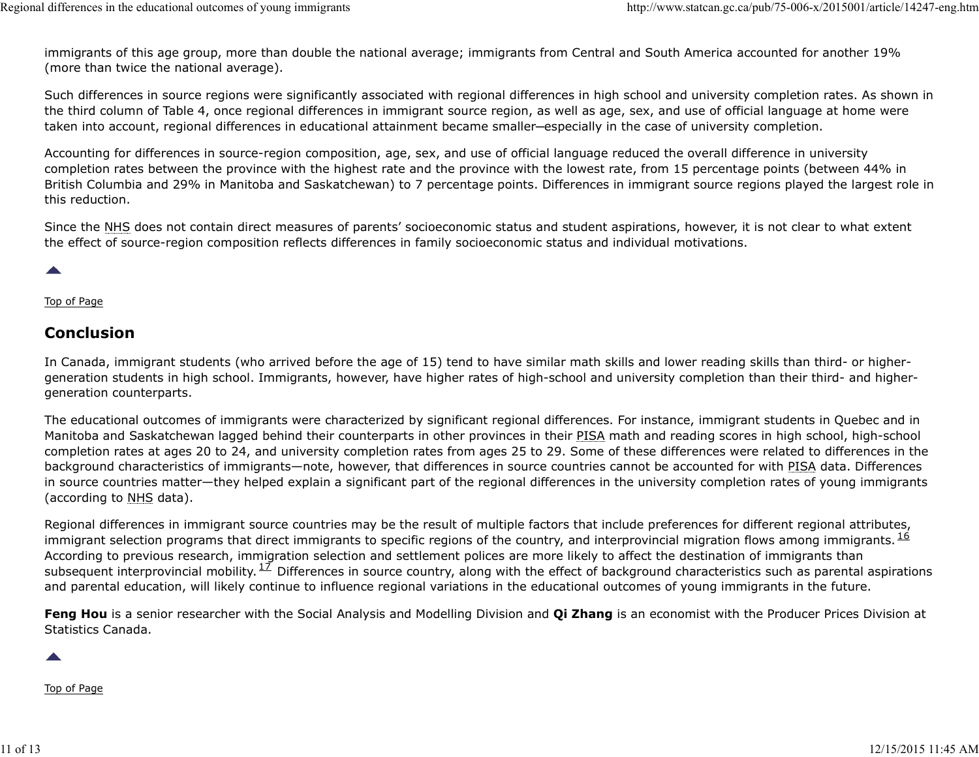immigrants of this age group, more than double the national average; immigrants from Central and South America accounted for another 19% (more than twice the national average). Regional differences in the educational outcomes of young immigrants<br>immigrants of this age group, more than double the national average; immigrants from Central and South America accounted for another 19%<br>(more than twice

Such differences in source regions were significantly associated with regional differences in high school and university completion rates. As shown in the third column of Table 4, once regional differences in immigrant source region, as well as age, sex, and use of official language at home were taken into account, regional differences in educational attainment became smaller─especially in the case of university completion.

Accounting for differences in source-region composition, age, sex, and use of official language reduced the overall difference in university completion rates between the province with the highest rate and the province with the lowest rate, from 15 percentage points (between 44% in British Columbia and 29% in Manitoba and Saskatchewan) to 7 percentage points. Differences in immigrant source regions played the largest role in this reduction.

Since the NHS does not contain direct measures of parents' socioeconomic status and student aspirations, however, it is not clear to what extent the effect of source-region composition reflects differences in family socioeconomic status and individual motivations.

#### Top of Page

## Conclusion

In Canada, immigrant students (who arrived before the age of 15) tend to have similar math skills and lower reading skills than third- or highergeneration students in high school. Immigrants, however, have higher rates of high-school and university completion than their third- and highergeneration counterparts.

The educational outcomes of immigrants were characterized by significant regional differences. For instance, immigrant students in Quebec and in Manitoba and Saskatchewan lagged behind their counterparts in other provinces in their PISA math and reading scores in high school, high-school completion rates at ages 20 to 24, and university completion rates from ages 25 to 29. Some of these differences were related to differences in the background characteristics of immigrants—note, however, that differences in source countries cannot be accounted for with PISA data. Differences in source countries matter—they helped explain a significant part of the regional differences in the university completion rates of young immigrants (according to NHS data). subsequent more interprovincial mobility.<sup>12</sup> Differences in source country, along which and lower reading skills than third- or higher-<br>Top of Page<br>Conclusion<br>In Canada, immigrant students (who arrived before the age of 1 Manitoba and Saskatchewan laged behind their counterparts in other provinces in their PISA matin the dreading scores in high school, high-school<br>completion rates at ages 20 to 24, and university completion rates from ages

Regional differences in immigrant source countries may be the result of multiple factors that include preferences for different regional attributes, immigrant selection programs that direct immigrants to specific regions of the country, and interprovincial migration flows among immigrants. <sup>16</sup> According to previous research, immigration selection and settlement polices are more likely to affect the destination of immigrants than and parental education, will likely continue to influence regional variations in the educational outcomes of young immigrants in the future. 16 subsequent interprovincial mobility.<sup>17</sup> Differences in source country, along with the effect of background characteristics such as parental aspirations

Feng Hou is a senior researcher with the Social Analysis and Modelling Division and Qi Zhang is an economist with the Producer Prices Division at Statistics Canada.

Top of Page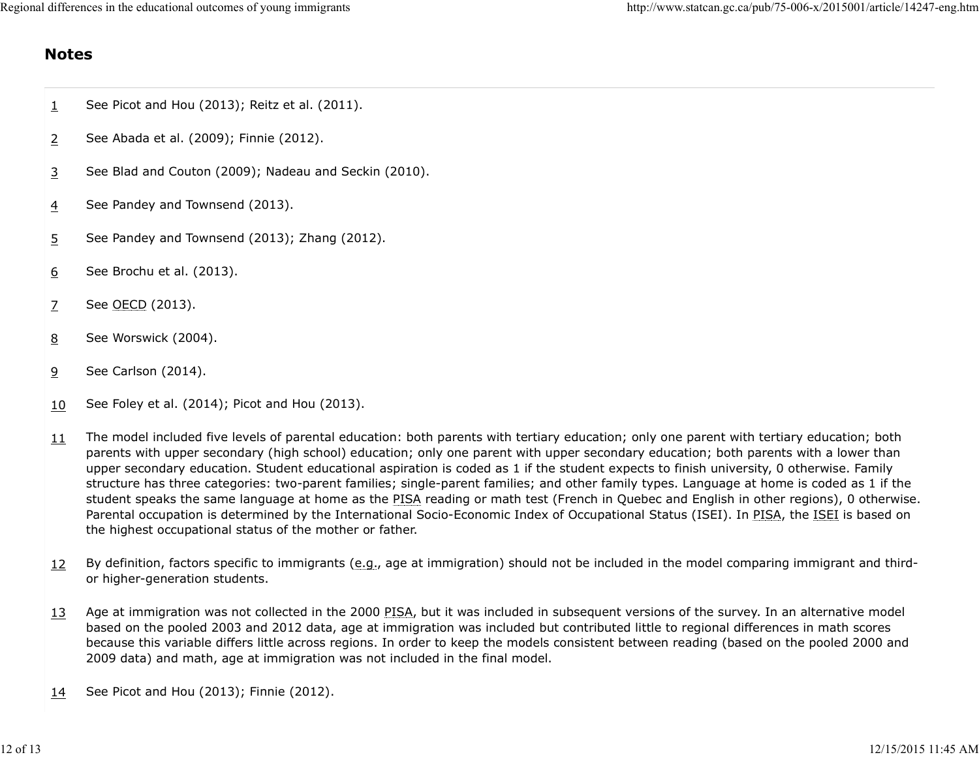# Notes

- $\frac{1}{1}$  See Picot and Hou (2013); Reitz et al. (2011).
- 2 See Abada et al. (2009); Finnie (2012).
- 3 See Blad and Couton (2009); Nadeau and Seckin (2010).
- 4 See Pandey and Townsend (2013).
- $5$  See Pandey and Townsend (2013); Zhang (2012).
- 6 See Brochu et al. (2013).
- 7 See OECD (2013).
- 8 See Worswick (2004).
- 9 See Carlson (2014).
- $10$  See Foley et al. (2014); Picot and Hou (2013).
- 11 The model included five levels of parental education: both parents with tertiary education; only one parent with tertiary education; both parents with upper secondary (high school) education; only one parent with upper secondary education; both parents with a lower than upper secondary education. Student educational aspiration is coded as 1 if the student expects to finish university, 0 otherwise. Family structure has three categories: two-parent families; single-parent families; and other family types. Language at home is coded as 1 if the student speaks the same language at home as the PISA reading or math test (French in Quebec and English in other regions), 0 otherwise. Parental occupation is determined by the International Socio-Economic Index of Occupational Status (ISEI). In PISA, the ISEI is based on the highest occupational status of the mother or father. The model included frie levels of perental education: both parents with tertiny education; only one perent with tertiny education; both parents with a lower than upper secondary (high school) education; only one parent wit
	- 12 By definition, factors specific to immigrants (e.g., age at immigration) should not be included in the model comparing immigrant and thirdor higher-generation students.
	- 13 Age at immigration was not collected in the 2000 PISA, but it was included in subsequent versions of the survey. In an alternative model based on the pooled 2003 and 2012 data, age at immigration was included but contributed little to regional differences in math scores because this variable differs little across regions. In order to keep the models consistent between reading (based on the pooled 2000 and 2009 data) and math, age at immigration was not included in the final model.
	- 14 See Picot and Hou (2013); Finnie (2012).